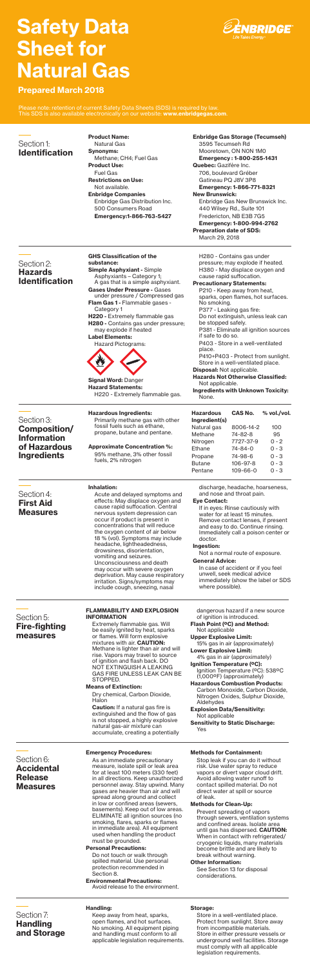# Prepared March 2018

# Safety Data Sheet for Natural Gas

| <b>GHS Classification of the</b>                                    | H280 - Contains gas under                                               |
|---------------------------------------------------------------------|-------------------------------------------------------------------------|
| substance:                                                          | pressure; may explode if heated.                                        |
| <b>Simple Asphyxiant - Simple</b><br>Asphyxiants – Category 1;      | H380 - May displace oxygen and<br>cause rapid suffocation.              |
| A gas that is a simple asphyxiant.                                  | <b>Precautionary Statements:</b>                                        |
| Gases Under Pressure - Gases<br>under pressure / Compressed gas     | P210 - Keep away from heat,<br>sparks, open flames, hot surfaces.       |
| <b>Flam Gas 1 - Flammable gases -</b><br>Category 1                 | No smoking.<br>P377 - Leaking gas fire:                                 |
| <b>H220</b> - Extremely flammable gas                               | Do not extinguish, unless leak can                                      |
| <b>H280 -</b> Contains gas under pressure;<br>may explode if heated | be stopped safely.<br>P381 - Eliminate all ignition sources             |
| <b>Label Elements:</b>                                              | if safe to do so.                                                       |
| Hazard Pictograms:                                                  | P403 - Store in a well-ventilated<br>place.                             |
|                                                                     | P410+P403 - Protect from sunlight.<br>Store in a well-ventilated place. |
|                                                                     | <b>Disposal:</b> Not applicable.                                        |
| <b>Signal Word: Danger</b>                                          | <b>Hazards Not Otherwise Classified:</b><br>Not applicable.             |
| <b>Hazard Statements:</b><br>H220 - Extremely flammable gas.        | <b>Ingredients with Unknown Toxicity:</b><br>None                       |

None.

# Hazardous Ingredients:

Primarily methane gas with other fossil fuels such as ethane, propane, butane and pentane.

## Approximate Concentration %: 95% methane, 3% other fossil fuels, 2% nitrogen

# Inhalation:

Acute and delayed symptoms and effects: May displace oxygen and cause rapid suffocation. Central nervous system depression can occur if product is present in concentrations that will reduce the oxygen content of air below 18 % (vol). Symptoms may include headache, lightheadedness, drowsiness, disorientation, vomiting and seizures. Unconsciousness and death may occur with severe oxygen deprivation. May cause respiratory irritation. Signs/symptoms may include cough, sneezing, nasal

discharge, headache, hoarseness, and nose and throat pain.

## Eye Contact:

If in eyes: Rinse cautiously with water for at least 15 minutes. Remove contact lenses, if present and easy to do. Continue rinsing. Immediately call a poison center or doctor.

# Ingestion:

Not a normal route of exposure.

General Advice:

In case of accident or if you feel unwell, seek medical advice immediately (show the label or SDS where possible).

Enbridge Companies Enbridge Gas Distribution Inc. 500 Consumers Road Emergency:1-866-763-5427

#### Product Name: Natural Gas Synonyms: Methane; CH4; Fuel Gas Product Use: Fuel Gas Restrictions on Use: Not available. Identification

Enbridge Gas Storage (Tecumseh) 3595 Tecumseh Rd Mooretown, ON N0N 1M0 Emergency : 1-800-255-1431 Quebec: Gazifère Inc. 706, boulevard Gréber Gatineau PQ J8V 3P8 Emergency: 1-866-771-8321 New Brunswick:

Enbridge Gas New Brunswick Inc. 440 Wilsey Rd., Suite 101 Fredericton, NB E3B 7G5 Emergency: 1-800-994-2762 Preparation date of SDS:

March 29, 2018

Section 1:

**P** note: retention of current Safety Data Sheets (SDS) is required by law This SDS is also available electronically on our website: <www.enbridgegas.com>.

Section 2: Hazards Identification

# Section 3: Composition/ Information of Hazardous Ingredients

# Section 6: Accidental Release Measures

Section 4: First Aid Measures

Hazardous Ingredient(s) Natural gas Methane Nitrogen Ethane Propane Butane Pentane

CAS No.

8006-14-2 74-82-8 7727-37-9 74-84-0 74-98-6 106-97-8 109-66-0

% vol./vol.

#### Emergency Procedures:

As an immediate precautionary measure, isolate spill or leak area for at least 100 meters (330 feet) in all directions. Keep unauthorized personnel away. Stay upwind. Many gases are heavier than air and will spread along ground and collect in low or confined areas (sewers, basements). Keep out of low areas. ELIMINATE all ignition sources (no smoking, flares, sparks or flames in immediate area). All equipment used when handling the product must be grounded.

#### Personal Precautions:

Do not touch or walk through spilled material. Use personal protection recommended in Section 8.

Environmental Precautions:

Avoid release to the environment.

#### Methods for Containment:

Stop leak if you can do it without risk. Use water spray to reduce vapors or divert vapor cloud drift. Avoid allowing water runoff to contact spilled material. Do not direct water at spill or source of leak.

#### Methods for Clean-Up:

Prevent spreading of vapors through sewers, ventilation systems and confined areas. Isolate area until gas has dispersed. CAUTION: When in contact with refrigerated/ cryogenic liquids, many materials become brittle and are likely to break without warning.

#### Other Information:

See Section 13 for disposal considerations.

## Handling:

Keep away from heat, sparks, open flames, and hot surfaces. No smoking. All equipment piping and handling must conform to all applicable legislation requirements.

#### Storage:

Store in a well-ventilated place. Protect from sunlight. Store away from incompatible materials. Store in either pressure vessels or underground well facilities. Storage must comply with all applicable legislation requirements.

FLAMMABILITY AND EXPLOSION INFORMATION

Extremely flammable gas. Will be easily ignited by heat, sparks or flames. Will form explosive mixtures with air. CAUTION: Methane is lighter than air and will rise. Vapors may travel to source of ignition and flash back. DO NOT EXTINGUISH A LEAKING GAS FIRE UNLESS LEAK CAN BE STOPPED.

#### Means of Extinction:

Dry chemical, Carbon Dioxide, Halon

Caution: If a natural gas fire is extinguished and the flow of gas is not stopped, a highly explosive natural gas-air mixture can accumulate, creating a potentially

dangerous hazard if a new source of ignition is introduced. Flash Point (ºC) and Method: Not applicable



Upper Explosive Limit: 15% gas in air (approximately)

Lower Explosive Limit: 4% gas in air (approximately)

Ignition Temperature (ºC): Ignition Temperature (ºC): 538ºC (1,000ºF) (approximately)

Hazardous Combustion Products: Carbon Monoxide, Carbon Dioxide, Nitrogen Oxides, Sulphur Dioxide, Aldehydes

Explosion Data/Sensitivity: Not applicable

Sensitivity to Static Discharge: Yes



# Fire-fighting measures

## Section 7: Handling and Storage